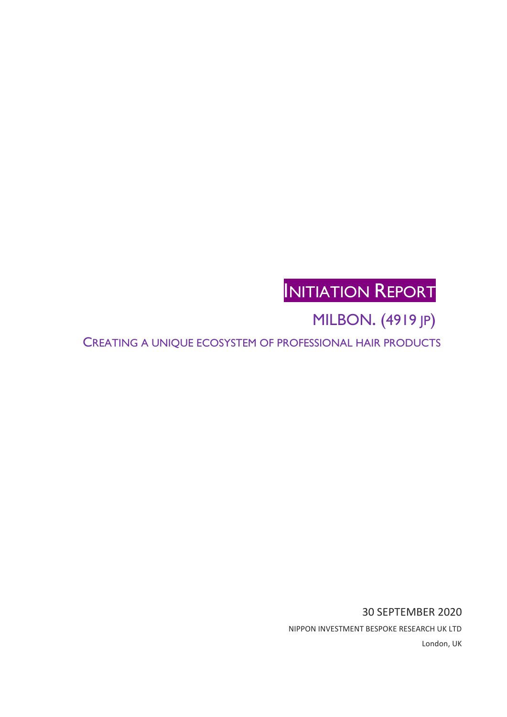# INITIATION REPORT

MILBON. (4919 JP)

CREATING A UNIQUE ECOSYSTEM OF PROFESSIONAL HAIR PRODUCTS

30 SEPTEMBER 2020 NIPPON INVESTMENT BESPOKE RESEARCH UK LTD London, UK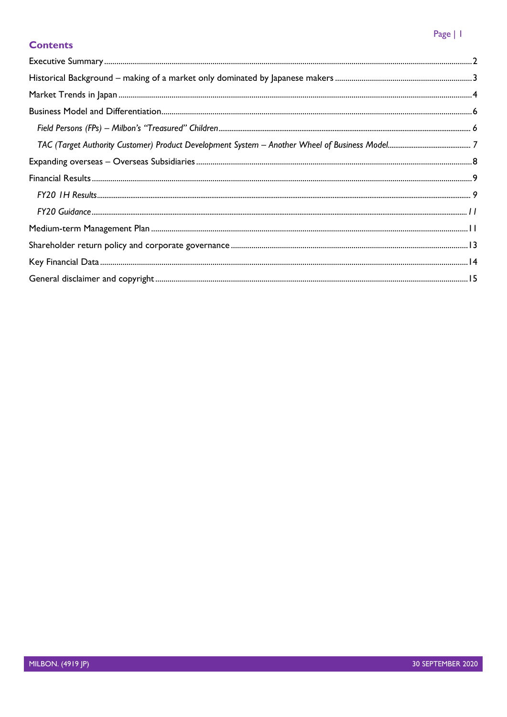## Page | 1

## **Contents**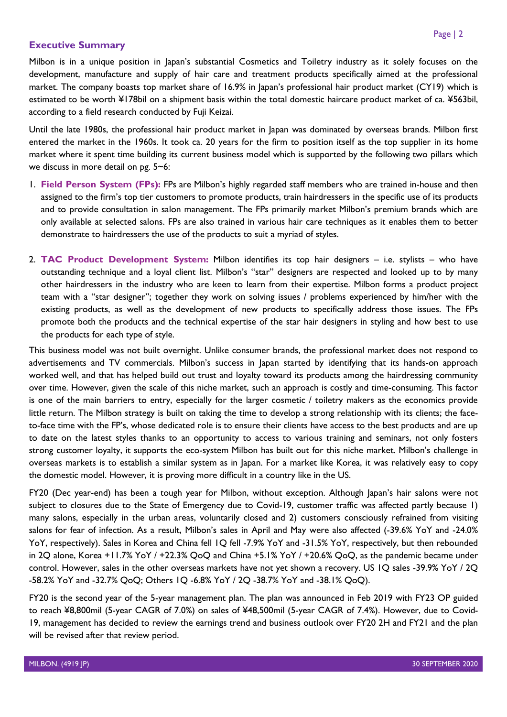## <span id="page-2-0"></span>**Executive Summary**

Milbon is in a unique position in Japan's substantial Cosmetics and Toiletry industry as it solely focuses on the development, manufacture and supply of hair care and treatment products specifically aimed at the professional market. The company boasts top market share of 16.9% in Japan's professional hair product market (CY19) which is estimated to be worth ¥178bil on a shipment basis within the total domestic haircare product market of ca. ¥563bil, according to a field research conducted by Fuji Keizai.

Until the late 1980s, the professional hair product market in Japan was dominated by overseas brands. Milbon first entered the market in the 1960s. It took ca. 20 years for the firm to position itself as the top supplier in its home market where it spent time building its current business model which is supported by the following two pillars which we discuss in more detail on pg. 5~6:

- 1. **Field Person System (FPs):** FPs are Milbon's highly regarded staff members who are trained in-house and then assigned to the firm's top tier customers to promote products, train hairdressers in the specific use of its products and to provide consultation in salon management. The FPs primarily market Milbon's premium brands which are only available at selected salons. FPs are also trained in various hair care techniques as it enables them to better demonstrate to hairdressers the use of the products to suit a myriad of styles.
- 2. **TAC Product Development System:** Milbon identifies its top hair designers i.e. stylists who have outstanding technique and a loyal client list. Milbon's "star" designers are respected and looked up to by many other hairdressers in the industry who are keen to learn from their expertise. Milbon forms a product project team with a "star designer"; together they work on solving issues / problems experienced by him/her with the existing products, as well as the development of new products to specifically address those issues. The FPs promote both the products and the technical expertise of the star hair designers in styling and how best to use the products for each type of style.

This business model was not built overnight. Unlike consumer brands, the professional market does not respond to advertisements and TV commercials. Milbon's success in Japan started by identifying that its hands-on approach worked well, and that has helped build out trust and loyalty toward its products among the hairdressing community over time. However, given the scale of this niche market, such an approach is costly and time-consuming. This factor is one of the main barriers to entry, especially for the larger cosmetic / toiletry makers as the economics provide little return. The Milbon strategy is built on taking the time to develop a strong relationship with its clients; the faceto-face time with the FP's, whose dedicated role is to ensure their clients have access to the best products and are up to date on the latest styles thanks to an opportunity to access to various training and seminars, not only fosters strong customer loyalty, it supports the eco-system Milbon has built out for this niche market. Milbon's challenge in overseas markets is to establish a similar system as in Japan. For a market like Korea, it was relatively easy to copy the domestic model. However, it is proving more difficult in a country like in the US.

FY20 (Dec year-end) has been a tough year for Milbon, without exception. Although Japan's hair salons were not subject to closures due to the State of Emergency due to Covid-19, customer traffic was affected partly because 1) many salons, especially in the urban areas, voluntarily closed and 2) customers consciously refrained from visiting salons for fear of infection. As a result, Milbon's sales in April and May were also affected (-39.6% YoY and -24.0% YoY, respectively). Sales in Korea and China fell 1Q fell -7.9% YoY and -31.5% YoY, respectively, but then rebounded in 2Q alone, Korea +11.7% YoY / +22.3% QoQ and China +5.1% YoY / +20.6% QoQ, as the pandemic became under control. However, sales in the other overseas markets have not yet shown a recovery. US 1Q sales -39.9% YoY / 2Q -58.2% YoY and -32.7% QoQ; Others 1Q -6.8% YoY / 2Q -38.7% YoY and -38.1% QoQ).

FY20 is the second year of the 5-year management plan. The plan was announced in Feb 2019 with FY23 OP guided to reach ¥8,800mil (5-year CAGR of 7.0%) on sales of ¥48,500mil (5-year CAGR of 7.4%). However, due to Covid-19, management has decided to review the earnings trend and business outlook over FY20 2H and FY21 and the plan will be revised after that review period.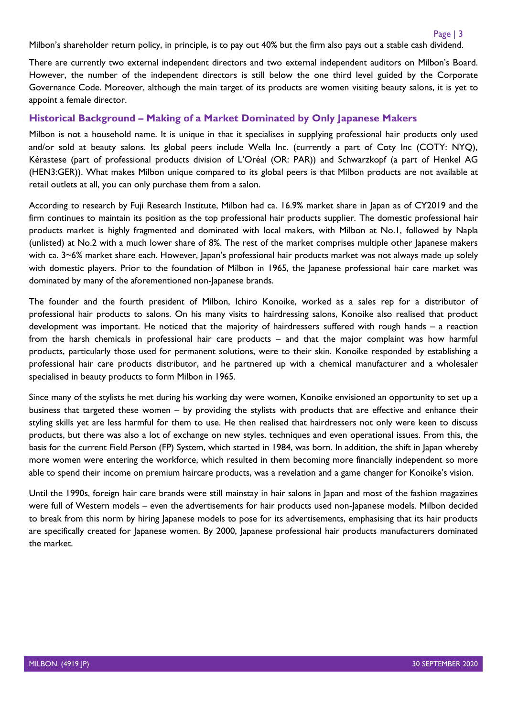Milbon's shareholder return policy, in principle, is to pay out 40% but the firm also pays out a stable cash dividend.

There are currently two external independent directors and two external independent auditors on Milbon's Board. However, the number of the independent directors is still below the one third level guided by the Corporate Governance Code. Moreover, although the main target of its products are women visiting beauty salons, it is yet to appoint a female director.

## <span id="page-3-0"></span>**Historical Background – Making of a Market Dominated by Only Japanese Makers**

Milbon is not a household name. It is unique in that it specialises in supplying professional hair products only used and/or sold at beauty salons. Its global peers include Wella Inc. (currently a part of Coty Inc (COTY: NYQ), Kérastese (part of professional products division of L'Oréal (OR: PAR)) and Schwarzkopf (a part of Henkel AG (HEN3:GER)). What makes Milbon unique compared to its global peers is that Milbon products are not available at retail outlets at all, you can only purchase them from a salon.

According to research by Fuji Research Institute, Milbon had ca. 16.9% market share in Japan as of CY2019 and the firm continues to maintain its position as the top professional hair products supplier. The domestic professional hair products market is highly fragmented and dominated with local makers, with Milbon at No.1, followed by Napla (unlisted) at No.2 with a much lower share of 8%. The rest of the market comprises multiple other Japanese makers with ca. 3~6% market share each. However, Japan's professional hair products market was not always made up solely with domestic players. Prior to the foundation of Milbon in 1965, the Japanese professional hair care market was dominated by many of the aforementioned non-Japanese brands.

The founder and the fourth president of Milbon, Ichiro Konoike, worked as a sales rep for a distributor of professional hair products to salons. On his many visits to hairdressing salons, Konoike also realised that product development was important. He noticed that the majority of hairdressers suffered with rough hands – a reaction from the harsh chemicals in professional hair care products – and that the major complaint was how harmful products, particularly those used for permanent solutions, were to their skin. Konoike responded by establishing a professional hair care products distributor, and he partnered up with a chemical manufacturer and a wholesaler specialised in beauty products to form Milbon in 1965.

Since many of the stylists he met during his working day were women, Konoike envisioned an opportunity to set up a business that targeted these women – by providing the stylists with products that are effective and enhance their styling skills yet are less harmful for them to use. He then realised that hairdressers not only were keen to discuss products, but there was also a lot of exchange on new styles, techniques and even operational issues. From this, the basis for the current Field Person (FP) System, which started in 1984, was born. In addition, the shift in Japan whereby more women were entering the workforce, which resulted in them becoming more financially independent so more able to spend their income on premium haircare products, was a revelation and a game changer for Konoike's vision.

<span id="page-3-1"></span>Until the 1990s, foreign hair care brands were still mainstay in hair salons in Japan and most of the fashion magazines were full of Western models – even the advertisements for hair products used non-Japanese models. Milbon decided to break from this norm by hiring Japanese models to pose for its advertisements, emphasising that its hair products are specifically created for Japanese women. By 2000, Japanese professional hair products manufacturers dominated the market.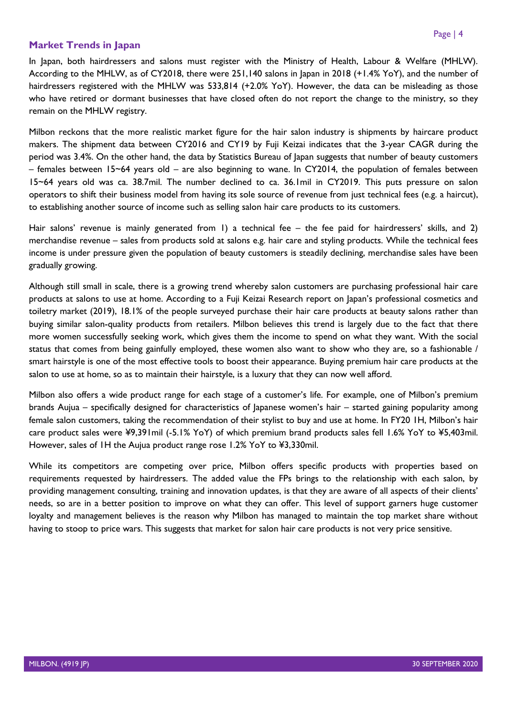## **Market Trends in Japan**

In Japan, both hairdressers and salons must register with the Ministry of Health, Labour & Welfare (MHLW). According to the MHLW, as of CY2018, there were 251,140 salons in Japan in 2018 (+1.4% YoY), and the number of hairdressers registered with the MHLW was 533,814 (+2.0% YoY). However, the data can be misleading as those who have retired or dormant businesses that have closed often do not report the change to the ministry, so they remain on the MHLW registry.

Milbon reckons that the more realistic market figure for the hair salon industry is shipments by haircare product makers. The shipment data between CY2016 and CY19 by Fuji Keizai indicates that the 3-year CAGR during the period was 3.4%. On the other hand, the data by Statistics Bureau of Japan suggests that number of beauty customers – females between 15~64 years old – are also beginning to wane. In CY2014, the population of females between 15~64 years old was ca. 38.7mil. The number declined to ca. 36.1mil in CY2019. This puts pressure on salon operators to shift their business model from having its sole source of revenue from just technical fees (e.g. a haircut), to establishing another source of income such as selling salon hair care products to its customers.

Hair salons' revenue is mainly generated from 1) a technical fee – the fee paid for hairdressers' skills, and 2) merchandise revenue – sales from products sold at salons e.g. hair care and styling products. While the technical fees income is under pressure given the population of beauty customers is steadily declining, merchandise sales have been gradually growing.

Although still small in scale, there is a growing trend whereby salon customers are purchasing professional hair care products at salons to use at home. According to a Fuji Keizai Research report on Japan's professional cosmetics and toiletry market (2019), 18.1% of the people surveyed purchase their hair care products at beauty salons rather than buying similar salon-quality products from retailers. Milbon believes this trend is largely due to the fact that there more women successfully seeking work, which gives them the income to spend on what they want. With the social status that comes from being gainfully employed, these women also want to show who they are, so a fashionable / smart hairstyle is one of the most effective tools to boost their appearance. Buying premium hair care products at the salon to use at home, so as to maintain their hairstyle, is a luxury that they can now well afford.

Milbon also offers a wide product range for each stage of a customer's life. For example, one of Milbon's premium brands Aujua – specifically designed for characteristics of Japanese women's hair – started gaining popularity among female salon customers, taking the recommendation of their stylist to buy and use at home. In FY20 1H, Milbon's hair care product sales were ¥9,391mil (-5.1% YoY) of which premium brand products sales fell 1.6% YoY to ¥5,403mil. However, sales of 1H the Aujua product range rose 1.2% YoY to ¥3,330mil.

While its competitors are competing over price, Milbon offers specific products with properties based on requirements requested by hairdressers. The added value the FPs brings to the relationship with each salon, by providing management consulting, training and innovation updates, is that they are aware of all aspects of their clients' needs, so are in a better position to improve on what they can offer. This level of support garners huge customer loyalty and management believes is the reason why Milbon has managed to maintain the top market share without having to stoop to price wars. This suggests that market for salon hair care products is not very price sensitive.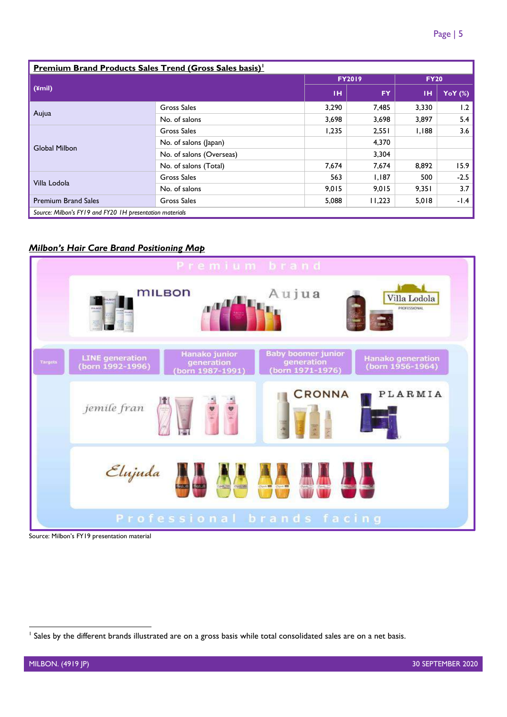| <b>Premium Brand Products Sales Trend (Gross Sales basis)</b> |                          |               |           |             |           |  |  |  |
|---------------------------------------------------------------|--------------------------|---------------|-----------|-------------|-----------|--|--|--|
|                                                               |                          | <b>FY2019</b> |           | <b>FY20</b> |           |  |  |  |
| $(\text{\textsterling}mil)$                                   |                          | тн            | <b>FY</b> | тн          | YoY $(%)$ |  |  |  |
| Aujua                                                         | <b>Gross Sales</b>       | 3,290         | 7,485     | 3,330       | 1.2       |  |  |  |
|                                                               | No. of salons            | 3,698         | 3,698     | 3,897       | 5.4       |  |  |  |
|                                                               | Gross Sales              | 1,235         | 2,551     | 1,188       | 3.6       |  |  |  |
| <b>Global Milbon</b>                                          | No. of salons (Japan)    |               | 4,370     |             |           |  |  |  |
|                                                               | No. of salons (Overseas) |               | 3,304     |             |           |  |  |  |
|                                                               | No. of salons (Total)    | 7,674         | 7,674     | 8,892       | 15.9      |  |  |  |
|                                                               | <b>Gross Sales</b>       | 563           | 1,187     | 500         | $-2.5$    |  |  |  |
| Villa Lodola                                                  | No. of salons            | 9,015         | 9,015     | 9,351       | 3.7       |  |  |  |
| <b>Premium Brand Sales</b>                                    | Gross Sales              | 5,088         | 11,223    | 5,018       | -1.4      |  |  |  |
| Source: Milbon's FY19 and FY20 IH presentation materials      |                          |               |           |             |           |  |  |  |

#### *Milbon's Hair Care Brand Positioning Map*



<span id="page-5-0"></span>Source: Milbon's FY19 presentation material

<sup>&</sup>lt;sup>1</sup> Sales by the different brands illustrated are on a gross basis while total consolidated sales are on a net basis.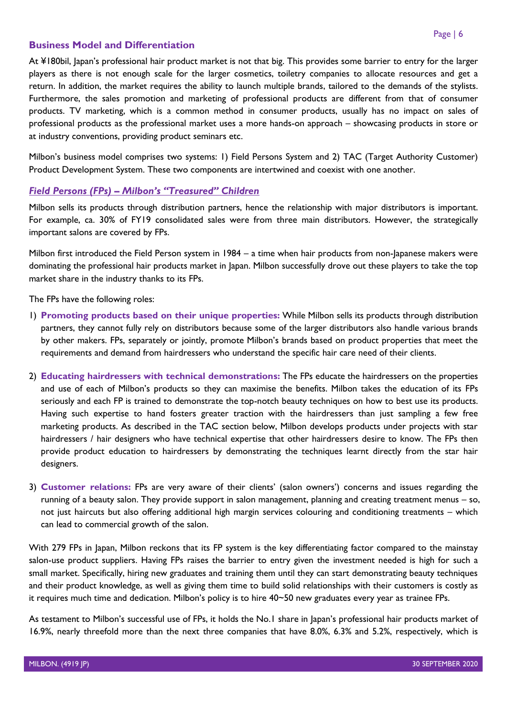## **Business Model and Differentiation**

At ¥180bil, Japan's professional hair product market is not that big. This provides some barrier to entry for the larger players as there is not enough scale for the larger cosmetics, toiletry companies to allocate resources and get a return. In addition, the market requires the ability to launch multiple brands, tailored to the demands of the stylists. Furthermore, the sales promotion and marketing of professional products are different from that of consumer products. TV marketing, which is a common method in consumer products, usually has no impact on sales of professional products as the professional market uses a more hands-on approach – showcasing products in store or at industry conventions, providing product seminars etc.

Milbon's business model comprises two systems: 1) Field Persons System and 2) TAC (Target Authority Customer) Product Development System. These two components are intertwined and coexist with one another.

## <span id="page-6-0"></span>*Field Persons (FPs) – Milbon's "Treasured" Children*

Milbon sells its products through distribution partners, hence the relationship with major distributors is important. For example, ca. 30% of FY19 consolidated sales were from three main distributors. However, the strategically important salons are covered by FPs.

Milbon first introduced the Field Person system in 1984 – a time when hair products from non-Japanese makers were dominating the professional hair products market in Japan. Milbon successfully drove out these players to take the top market share in the industry thanks to its FPs.

The FPs have the following roles:

- 1) **Promoting products based on their unique properties:** While Milbon sells its products through distribution partners, they cannot fully rely on distributors because some of the larger distributors also handle various brands by other makers. FPs, separately or jointly, promote Milbon's brands based on product properties that meet the requirements and demand from hairdressers who understand the specific hair care need of their clients.
- 2) **Educating hairdressers with technical demonstrations:** The FPs educate the hairdressers on the properties and use of each of Milbon's products so they can maximise the benefits. Milbon takes the education of its FPs seriously and each FP is trained to demonstrate the top-notch beauty techniques on how to best use its products. Having such expertise to hand fosters greater traction with the hairdressers than just sampling a few free marketing products. As described in the TAC section below, Milbon develops products under projects with star hairdressers / hair designers who have technical expertise that other hairdressers desire to know. The FPs then provide product education to hairdressers by demonstrating the techniques learnt directly from the star hair designers.
- 3) **Customer relations:** FPs are very aware of their clients' (salon owners') concerns and issues regarding the running of a beauty salon. They provide support in salon management, planning and creating treatment menus – so, not just haircuts but also offering additional high margin services colouring and conditioning treatments – which can lead to commercial growth of the salon.

With 279 FPs in Japan, Milbon reckons that its FP system is the key differentiating factor compared to the mainstay salon-use product suppliers. Having FPs raises the barrier to entry given the investment needed is high for such a small market. Specifically, hiring new graduates and training them until they can start demonstrating beauty techniques and their product knowledge, as well as giving them time to build solid relationships with their customers is costly as it requires much time and dedication. Milbon's policy is to hire 40~50 new graduates every year as trainee FPs.

As testament to Milbon's successful use of FPs, it holds the No.1 share in Japan's professional hair products market of 16.9%, nearly threefold more than the next three companies that have 8.0%, 6.3% and 5.2%, respectively, which is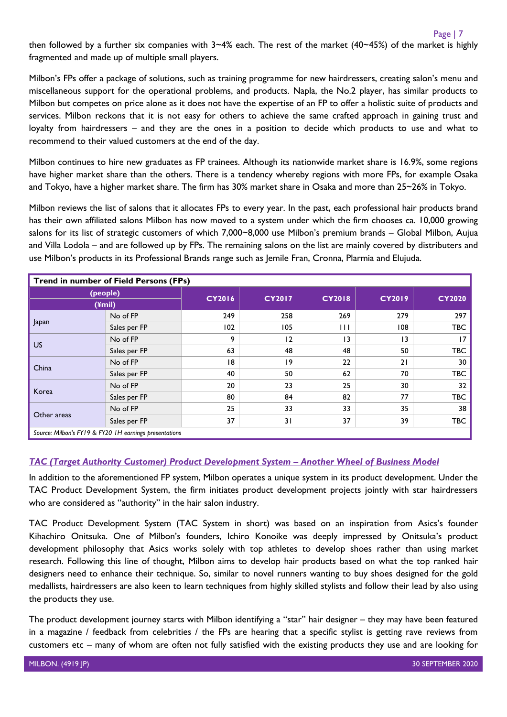then followed by a further six companies with  $3~4%$  each. The rest of the market (40~45%) of the market is highly fragmented and made up of multiple small players.

Milbon's FPs offer a package of solutions, such as training programme for new hairdressers, creating salon's menu and miscellaneous support for the operational problems, and products. Napla, the No.2 player, has similar products to Milbon but competes on price alone as it does not have the expertise of an FP to offer a holistic suite of products and services. Milbon reckons that it is not easy for others to achieve the same crafted approach in gaining trust and loyalty from hairdressers – and they are the ones in a position to decide which products to use and what to recommend to their valued customers at the end of the day.

Milbon continues to hire new graduates as FP trainees. Although its nationwide market share is 16.9%, some regions have higher market share than the others. There is a tendency whereby regions with more FPs, for example Osaka and Tokyo, have a higher market share. The firm has 30% market share in Osaka and more than 25~26% in Tokyo.

Milbon reviews the list of salons that it allocates FPs to every year. In the past, each professional hair products brand has their own affiliated salons Milbon has now moved to a system under which the firm chooses ca. 10,000 growing salons for its list of strategic customers of which 7,000~8,000 use Milbon's premium brands - Global Milbon, Aujua and Villa Lodola – and are followed up by FPs. The remaining salons on the list are mainly covered by distributers and use Milbon's products in its Professional Brands range such as Jemile Fran, Cronna, Plarmia and Elujuda.

| <b>Trend in number of Field Persons (FPs)</b> |                                                                                                                                                                                                                                 |               |               |                 |               |               |  |  |
|-----------------------------------------------|---------------------------------------------------------------------------------------------------------------------------------------------------------------------------------------------------------------------------------|---------------|---------------|-----------------|---------------|---------------|--|--|
| (people)<br>$(4$ mil)                         |                                                                                                                                                                                                                                 | <b>CY2016</b> | <b>CY2017</b> | <b>CY2018</b>   | <b>CY2019</b> | <b>CY2020</b> |  |  |
|                                               | No of FP                                                                                                                                                                                                                        | 249           | 258           | 269             | 279           | 297           |  |  |
| Japan                                         | Sales per FP                                                                                                                                                                                                                    | 102           | 105           | Ш               | 108           | <b>TBC</b>    |  |  |
| <b>US</b>                                     | No of FP                                                                                                                                                                                                                        | 9             | 12            | $\overline{13}$ | 13            | 17            |  |  |
|                                               | Sales per FP                                                                                                                                                                                                                    | 63            | 48            | 48              | 50            | <b>TBC</b>    |  |  |
| China                                         | No of FP                                                                                                                                                                                                                        | 18            | $ 9\rangle$   | 22              | 21            | 30            |  |  |
|                                               | Sales per FP                                                                                                                                                                                                                    | 40            | 50            | 62              | 70            | <b>TBC</b>    |  |  |
| Korea                                         | No of FP                                                                                                                                                                                                                        | 20            | 23            | 25              | 30            | 32            |  |  |
|                                               | Sales per FP                                                                                                                                                                                                                    | 80            | 84            | 82              | 77            | <b>TBC</b>    |  |  |
| Other areas                                   | No of FP                                                                                                                                                                                                                        | 25            | 33            | 33              | 35            | 38            |  |  |
|                                               | Sales per FP                                                                                                                                                                                                                    | 37            | 31            | 37              | 39            | <b>TBC</b>    |  |  |
|                                               | $C = M^H$ is the contract of the state of the state of the state of the state of the state of the state of the state of the state of the state of the state of the state of the state of the state of the state of the state of |               |               |                 |               |               |  |  |

*Source: Milbon's FY19 & FY20 1H earnings presentations*

## <span id="page-7-0"></span>*TAC (Target Authority Customer) Product Development System – Another Wheel of Business Model*

In addition to the aforementioned FP system, Milbon operates a unique system in its product development. Under the TAC Product Development System, the firm initiates product development projects jointly with star hairdressers who are considered as "authority" in the hair salon industry.

TAC Product Development System (TAC System in short) was based on an inspiration from Asics's founder Kihachiro Onitsuka. One of Milbon's founders, Ichiro Konoike was deeply impressed by Onitsuka's product development philosophy that Asics works solely with top athletes to develop shoes rather than using market research. Following this line of thought, Milbon aims to develop hair products based on what the top ranked hair designers need to enhance their technique. So, similar to novel runners wanting to buy shoes designed for the gold medallists, hairdressers are also keen to learn techniques from highly skilled stylists and follow their lead by also using the products they use.

The product development journey starts with Milbon identifying a "star" hair designer – they may have been featured in a magazine / feedback from celebrities / the FPs are hearing that a specific stylist is getting rave reviews from customers etc – many of whom are often not fully satisfied with the existing products they use and are looking for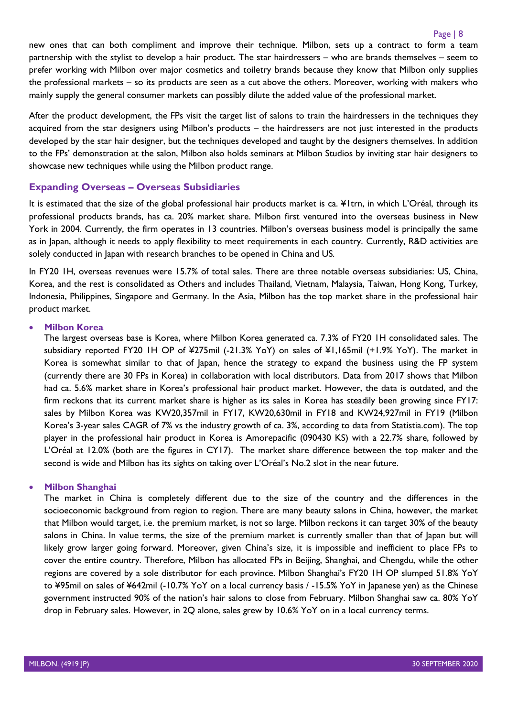new ones that can both compliment and improve their technique. Milbon, sets up a contract to form a team partnership with the stylist to develop a hair product. The star hairdressers – who are brands themselves – seem to prefer working with Milbon over major cosmetics and toiletry brands because they know that Milbon only supplies the professional markets – so its products are seen as a cut above the others. Moreover, working with makers who mainly supply the general consumer markets can possibly dilute the added value of the professional market.

After the product development, the FPs visit the target list of salons to train the hairdressers in the techniques they acquired from the star designers using Milbon's products – the hairdressers are not just interested in the products developed by the star hair designer, but the techniques developed and taught by the designers themselves. In addition to the FPs' demonstration at the salon, Milbon also holds seminars at Milbon Studios by inviting star hair designers to showcase new techniques while using the Milbon product range.

## <span id="page-8-0"></span>**Expanding Overseas – Overseas Subsidiaries**

It is estimated that the size of the global professional hair products market is ca. ¥1trn, in which L'Oréal, through its professional products brands, has ca. 20% market share. Milbon first ventured into the overseas business in New York in 2004. Currently, the firm operates in 13 countries. Milbon's overseas business model is principally the same as in Japan, although it needs to apply flexibility to meet requirements in each country. Currently, R&D activities are solely conducted in Japan with research branches to be opened in China and US.

In FY20 1H, overseas revenues were 15.7% of total sales. There are three notable overseas subsidiaries: US, China, Korea, and the rest is consolidated as Others and includes Thailand, Vietnam, Malaysia, Taiwan, Hong Kong, Turkey, Indonesia, Philippines, Singapore and Germany. In the Asia, Milbon has the top market share in the professional hair product market.

#### • **Milbon Korea**

The largest overseas base is Korea, where Milbon Korea generated ca. 7.3% of FY20 1H consolidated sales. The subsidiary reported FY20 1H OP of ¥275mil (-21.3% YoY) on sales of ¥1,165mil (+1.9% YoY). The market in Korea is somewhat similar to that of Japan, hence the strategy to expand the business using the FP system (currently there are 30 FPs in Korea) in collaboration with local distributors. Data from 2017 shows that Milbon had ca. 5.6% market share in Korea's professional hair product market. However, the data is outdated, and the firm reckons that its current market share is higher as its sales in Korea has steadily been growing since FY17: sales by Milbon Korea was KW20,357mil in FY17, KW20,630mil in FY18 and KW24,927mil in FY19 (Milbon Korea's 3-year sales CAGR of 7% vs the industry growth of ca. 3%, according to data from Statistia.com). The top player in the professional hair product in Korea is Amorepacific (090430 KS) with a 22.7% share, followed by L'Oréal at 12.0% (both are the figures in CY17). The market share difference between the top maker and the second is wide and Milbon has its sights on taking over L'Oréal's No.2 slot in the near future.

#### • **Milbon Shanghai**

The market in China is completely different due to the size of the country and the differences in the socioeconomic background from region to region. There are many beauty salons in China, however, the market that Milbon would target, i.e. the premium market, is not so large. Milbon reckons it can target 30% of the beauty salons in China. In value terms, the size of the premium market is currently smaller than that of Japan but will likely grow larger going forward. Moreover, given China's size, it is impossible and inefficient to place FPs to cover the entire country. Therefore, Milbon has allocated FPs in Beijing, Shanghai, and Chengdu, while the other regions are covered by a sole distributor for each province. Milbon Shanghai's FY20 1H OP slumped 51.8% YoY to ¥95mil on sales of ¥642mil (-10.7% YoY on a local currency basis / -15.5% YoY in Japanese yen) as the Chinese government instructed 90% of the nation's hair salons to close from February. Milbon Shanghai saw ca. 80% YoY drop in February sales. However, in 2Q alone, sales grew by 10.6% YoY on in a local currency terms.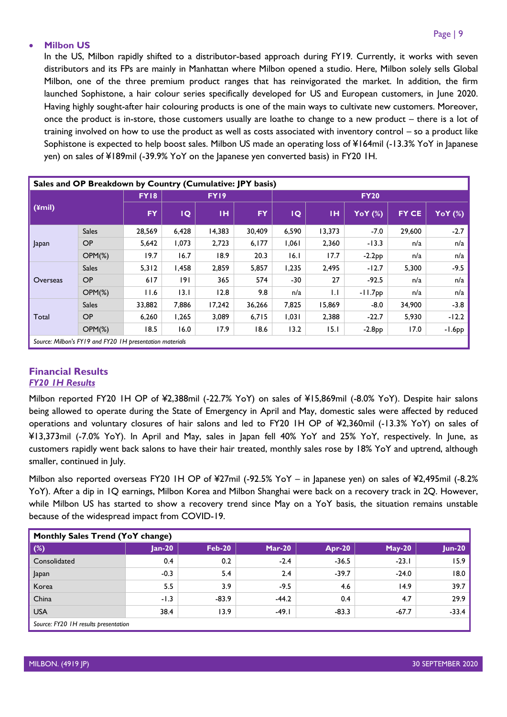#### Page | 9

#### • **Milbon US**

In the US, Milbon rapidly shifted to a distributor-based approach during FY19. Currently, it works with seven distributors and its FPs are mainly in Manhattan where Milbon opened a studio. Here, Milbon solely sells Global Milbon, one of the three premium product ranges that has reinvigorated the market. In addition, the firm launched Sophistone, a hair colour series specifically developed for US and European customers, in June 2020. Having highly sought-after hair colouring products is one of the main ways to cultivate new customers. Moreover, once the product is in-store, those customers usually are loathe to change to a new product – there is a lot of training involved on how to use the product as well as costs associated with inventory control – so a product like Sophistone is expected to help boost sales. Milbon US made an operating loss of ¥164mil (-13.3% YoY in Japanese yen) on sales of ¥189mil (-39.9% YoY on the Japanese yen converted basis) in FY20 1H.

| Sales and OP Breakdown by Country (Cumulative: JPY basis) |                                                          |                                 |       |        |             |       |              |           |        |          |
|-----------------------------------------------------------|----------------------------------------------------------|---------------------------------|-------|--------|-------------|-------|--------------|-----------|--------|----------|
| $(\angle$ mil)                                            |                                                          | <b>FY18</b><br>FY <sub>19</sub> |       |        | <b>FY20</b> |       |              |           |        |          |
|                                                           |                                                          | <b>FY</b>                       | IQ    | TH.    | <b>FY</b>   | IQ    | IН           | YoY (%)   | FY CE  | YoY (%)  |
|                                                           | <b>Sales</b>                                             | 28,569                          | 6,428 | 14,383 | 30,409      | 6,590 | 13,373       | $-7.0$    | 29,600 | $-2.7$   |
| Japan                                                     | <b>OP</b>                                                | 5,642                           | 1,073 | 2,723  | 6,177       | 1,061 | 2,360        | $-13.3$   | n/a    | n/a      |
|                                                           | $OPM(\%)$                                                | 19.7                            | 16.7  | 18.9   | 20.3        | 16.1  | 17.7         | $-2.2PP$  | n/a    | n/a      |
|                                                           | <b>Sales</b>                                             | 5.312                           | 1,458 | 2,859  | 5,857       | 1,235 | 2,495        | $-12.7$   | 5,300  | $-9.5$   |
| Overseas                                                  | <b>OP</b>                                                | 617                             | 191   | 365    | 574         | -30   | 27           | $-92.5$   | n/a    | n/a      |
|                                                           | $OPM(\%)$                                                | 11.6                            | 13.1  | 12.8   | 9.8         | n/a   | $\mathsf{L}$ | $-11.7DD$ | n/a    | n/a      |
|                                                           | <b>Sales</b>                                             | 33,882                          | 7,886 | 17,242 | 36,266      | 7,825 | 15,869       | $-8.0$    | 34,900 | $-3.8$   |
| Total                                                     | <b>OP</b>                                                | 6,260                           | 1,265 | 3,089  | 6,715       | 1,031 | 2,388        | $-22.7$   | 5,930  | $-12.2$  |
|                                                           | $OPM(\%)$                                                | 18.5                            | 16.0  | 17.9   | 18.6        | 13.2  | 15.1         | $-2.8PP$  | 17.0   | $-1.6PP$ |
|                                                           | Source: Milbon's FY19 and FY20 IH presentation materials |                                 |       |        |             |       |              |           |        |          |

#### <span id="page-9-1"></span><span id="page-9-0"></span>**Financial Results** *FY20 1H Results*

Milbon reported FY20 1H OP of ¥2,388mil (-22.7% YoY) on sales of ¥15,869mil (-8.0% YoY). Despite hair salons being allowed to operate during the State of Emergency in April and May, domestic sales were affected by reduced operations and voluntary closures of hair salons and led to FY20 1H OP of ¥2,360mil (-13.3% YoY) on sales of ¥13,373mil (-7.0% YoY). In April and May, sales in Japan fell 40% YoY and 25% YoY, respectively. In June, as customers rapidly went back salons to have their hair treated, monthly sales rose by 18% YoY and uptrend, although smaller, continued in July.

Milbon also reported overseas FY20 1H OP of ¥27mil (-92.5% YoY – in Japanese yen) on sales of ¥2,495mil (-8.2% YoY). After a dip in 1Q earnings, Milbon Korea and Milbon Shanghai were back on a recovery track in 2Q. However, while Milbon US has started to show a recovery trend since May on a YoY basis, the situation remains unstable because of the widespread impact from COVID-19.

| Monthly Sales Trend (YoY change)     |          |               |          |               |               |               |  |  |  |
|--------------------------------------|----------|---------------|----------|---------------|---------------|---------------|--|--|--|
| $(\%)$                               | $Jan-20$ | <b>Feb-20</b> | $Mar-20$ | <b>Apr-20</b> | <b>May-20</b> | <b>Jun-20</b> |  |  |  |
| Consolidated                         | 0.4      | 0.2           | $-2.4$   | $-36.5$       | $-23.1$       | 15.9          |  |  |  |
| Japan                                | $-0.3$   | 5.4           | 2.4      | $-39.7$       | $-24.0$       | 18.0          |  |  |  |
| Korea                                | 5.5      | 3.9           | $-9.5$   | 4.6           | 14.9          | 39.7          |  |  |  |
| China                                | $-1.3$   | $-83.9$       | $-44.2$  | 0.4           | 4.7           | 29.9          |  |  |  |
| <b>USA</b>                           | 38.4     | 13.9          | $-49.1$  | $-83.3$       | $-67.7$       | $-33.4$       |  |  |  |
| Source: FY20 1H results presentation |          |               |          |               |               |               |  |  |  |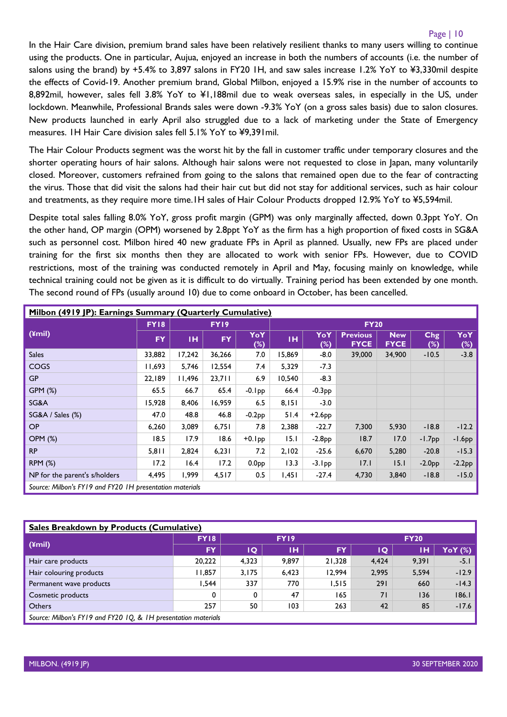#### Page | 10

In the Hair Care division, premium brand sales have been relatively resilient thanks to many users willing to continue using the products. One in particular, Aujua, enjoyed an increase in both the numbers of accounts (i.e. the number of salons using the brand) by +5.4% to 3,897 salons in FY20 1H, and saw sales increase 1.2% YoY to ¥3,330mil despite the effects of Covid-19. Another premium brand, Global Milbon, enjoyed a 15.9% rise in the number of accounts to 8,892mil, however, sales fell 3.8% YoY to ¥1,188mil due to weak overseas sales, in especially in the US, under lockdown. Meanwhile, Professional Brands sales were down -9.3% YoY (on a gross sales basis) due to salon closures. New products launched in early April also struggled due to a lack of marketing under the State of Emergency measures. 1H Hair Care division sales fell 5.1% YoY to ¥9,391mil.

The Hair Colour Products segment was the worst hit by the fall in customer traffic under temporary closures and the shorter operating hours of hair salons. Although hair salons were not requested to close in Japan, many voluntarily closed. Moreover, customers refrained from going to the salons that remained open due to the fear of contracting the virus. Those that did visit the salons had their hair cut but did not stay for additional services, such as hair colour and treatments, as they require more time.1H sales of Hair Colour Products dropped 12.9% YoY to ¥5,594mil.

Despite total sales falling 8.0% YoY, gross profit margin (GPM) was only marginally affected, down 0.3ppt YoY. On the other hand, OP margin (OPM) worsened by 2.8ppt YoY as the firm has a high proportion of fixed costs in SG&A such as personnel cost. Milbon hired 40 new graduate FPs in April as planned. Usually, new FPs are placed under training for the first six months then they are allocated to work with senior FPs. However, due to COVID restrictions, most of the training was conducted remotely in April and May, focusing mainly on knowledge, while technical training could not be given as it is difficult to do virtually. Training period has been extended by one month. The second round of FPs (usually around 10) due to come onboard in October, has been cancelled.

| Milbon (4919 JP): Earnings Summary (Quarterly Cumulative) |             |        |             |                   |             |               |                                |                           |            |            |
|-----------------------------------------------------------|-------------|--------|-------------|-------------------|-------------|---------------|--------------------------------|---------------------------|------------|------------|
|                                                           | <b>FY18</b> |        | <b>FY19</b> |                   | <b>FY20</b> |               |                                |                           |            |            |
| $(4$ mil $)$                                              | <b>FY</b>   | TH.    | <b>FY</b>   | YoY<br>$(\%)$     | TH.         | YoY<br>$(\%)$ | <b>Previous</b><br><b>FYCE</b> | <b>New</b><br><b>FYCE</b> | Chg<br>(%) | YoY<br>(%) |
| <b>Sales</b>                                              | 33,882      | 17,242 | 36,266      | 7.0               | 15,869      | $-8.0$        | 39,000                         | 34,900                    | $-10.5$    | $-3.8$     |
| <b>COGS</b>                                               | 11,693      | 5,746  | 12,554      | 7.4               | 5,329       | $-7.3$        |                                |                           |            |            |
| <b>GP</b>                                                 | 22,189      | 11,496 | 23,711      | 6.9               | 10,540      | $-8.3$        |                                |                           |            |            |
| GPM (%)                                                   | 65.5        | 66.7   | 65.4        | $-0.1$ pp         | 66.4        | $-0.3PP$      |                                |                           |            |            |
| SG&A                                                      | 15,928      | 8,406  | 16,959      | 6.5               | 8,151       | $-3.0$        |                                |                           |            |            |
| SG&A / Sales (%)                                          | 47.0        | 48.8   | 46.8        | $-0.2PP$          | 51.4        | $+2.6$ pp     |                                |                           |            |            |
| <b>OP</b>                                                 | 6,260       | 3,089  | 6,751       | 7.8               | 2,388       | $-22.7$       | 7,300                          | 5,930                     | $-18.8$    | $-12.2$    |
| <b>OPM (%)</b>                                            | 18.5        | 17.9   | 18.6        | $+0.1$ pp         | 15.1        | $-2.8PP$      | 18.7                           | 17.0                      | $-1.7PP$   | $-1.6pp$   |
| <b>RP</b>                                                 | 5,811       | 2,824  | 6,231       | 7.2               | 2,102       | $-25.6$       | 6,670                          | 5,280                     | $-20.8$    | $-15.3$    |
| <b>RPM (%)</b>                                            | 17.2        | 16.4   | 17.2        | 0.0 <sub>PP</sub> | 13.3        | $-3.1$ pp     | 17.1                           | 15.1                      | $-2.0PP$   | $-2.2pp$   |
| NP for the parent's s/holders                             | 4,495       | 1,999  | 4,517       | 0.5               | 1,451       | $-27.4$       | 4,730                          | 3,840                     | $-18.8$    | $-15.0$    |
| Source: Milbon's FY19 and FY20 1H presentation materials  |             |        |             |                   |             |               |                                |                           |            |            |

<span id="page-10-0"></span>

| Sales Breakdown by Products (Cumulative)                       |             |       |             |        |             |       |         |  |  |
|----------------------------------------------------------------|-------------|-------|-------------|--------|-------------|-------|---------|--|--|
| (¥mil)                                                         | <b>FY18</b> |       | <b>FY19</b> |        | <b>FY20</b> |       |         |  |  |
|                                                                | FY.         | IQ.   | ıн          | FY     | ΙO          | ΙН    | YoY (%) |  |  |
| Hair care products                                             | 20,222      | 4,323 | 9.897       | 21.328 | 4,424       | 9,391 | $-5.1$  |  |  |
| Hair colouring products                                        | 11,857      | 3,175 | 6,423       | 12.994 | 2,995       | 5,594 | $-12.9$ |  |  |
| Permanent wave products                                        | I.544       | 337   | 770         | 1.515  | 291         | 660   | $-14.3$ |  |  |
| Cosmetic products                                              | 0           | 0     | 47          | 165    | 71          | 136   | 186.1   |  |  |
| <b>Others</b>                                                  | 257         | 50    | 103         | 263    | 42          | 85    | $-17.6$ |  |  |
| Source: Milbon's FY19 and FY20 1Q, & 1H presentation materials |             |       |             |        |             |       |         |  |  |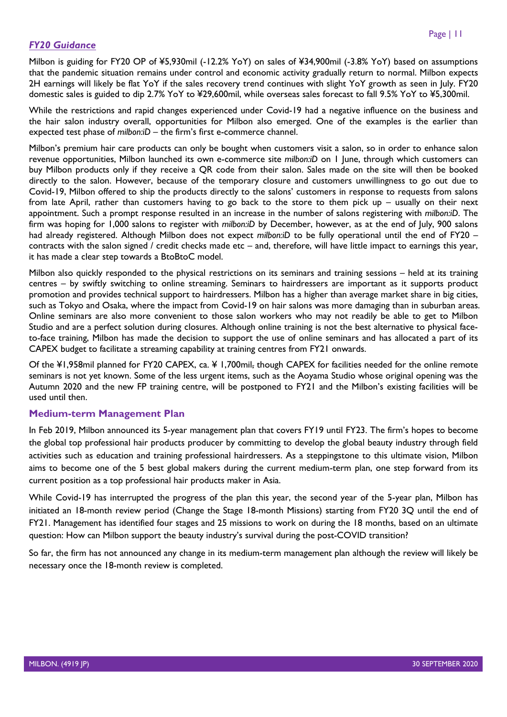## *FY20 Guidance*

Milbon is guiding for FY20 OP of ¥5,930mil (-12.2% YoY) on sales of ¥34,900mil (-3.8% YoY) based on assumptions that the pandemic situation remains under control and economic activity gradually return to normal. Milbon expects 2H earnings will likely be flat YoY if the sales recovery trend continues with slight YoY growth as seen in July. FY20 domestic sales is guided to dip 2.7% YoY to ¥29,600mil, while overseas sales forecast to fall 9.5% YoY to ¥5,300mil.

While the restrictions and rapid changes experienced under Covid-19 had a negative influence on the business and the hair salon industry overall, opportunities for Milbon also emerged. One of the examples is the earlier than expected test phase of *milbon:iD* – the firm's first e-commerce channel.

Milbon's premium hair care products can only be bought when customers visit a salon, so in order to enhance salon revenue opportunities, Milbon launched its own e-commerce site *milbon:iD* on 1 June, through which customers can buy Milbon products only if they receive a QR code from their salon. Sales made on the site will then be booked directly to the salon. However, because of the temporary closure and customers unwillingness to go out due to Covid-19, Milbon offered to ship the products directly to the salons' customers in response to requests from salons from late April, rather than customers having to go back to the store to them pick up – usually on their next appointment. Such a prompt response resulted in an increase in the number of salons registering with *milbon:iD*. The firm was hoping for 1,000 salons to register with *milbon:iD* by December, however, as at the end of July, 900 salons had already registered. Although Milbon does not expect *milbon:iD* to be fully operational until the end of FY20 – contracts with the salon signed / credit checks made etc – and, therefore, will have little impact to earnings this year, it has made a clear step towards a BtoBtoC model.

Milbon also quickly responded to the physical restrictions on its seminars and training sessions – held at its training centres – by swiftly switching to online streaming. Seminars to hairdressers are important as it supports product promotion and provides technical support to hairdressers. Milbon has a higher than average market share in big cities, such as Tokyo and Osaka, where the impact from Covid-19 on hair salons was more damaging than in suburban areas. Online seminars are also more convenient to those salon workers who may not readily be able to get to Milbon Studio and are a perfect solution during closures. Although online training is not the best alternative to physical faceto-face training, Milbon has made the decision to support the use of online seminars and has allocated a part of its CAPEX budget to facilitate a streaming capability at training centres from FY21 onwards.

Of the ¥1,958mil planned for FY20 CAPEX, ca. ¥ 1,700mil, though CAPEX for facilities needed for the online remote seminars is not yet known. Some of the less urgent items, such as the Aoyama Studio whose original opening was the Autumn 2020 and the new FP training centre, will be postponed to FY21 and the Milbon's existing facilities will be used until then.

## <span id="page-11-0"></span>**Medium-term Management Plan**

In Feb 2019, Milbon announced its 5-year management plan that covers FY19 until FY23. The firm's hopes to become the global top professional hair products producer by committing to develop the global beauty industry through field activities such as education and training professional hairdressers. As a steppingstone to this ultimate vision, Milbon aims to become one of the 5 best global makers during the current medium-term plan, one step forward from its current position as a top professional hair products maker in Asia.

While Covid-19 has interrupted the progress of the plan this year, the second year of the 5-year plan, Milbon has initiated an 18-month review period (Change the Stage 18-month Missions) starting from FY20 3Q until the end of FY21. Management has identified four stages and 25 missions to work on during the 18 months, based on an ultimate question: How can Milbon support the beauty industry's survival during the post-COVID transition?

So far, the firm has not announced any change in its medium-term management plan although the review will likely be necessary once the 18-month review is completed.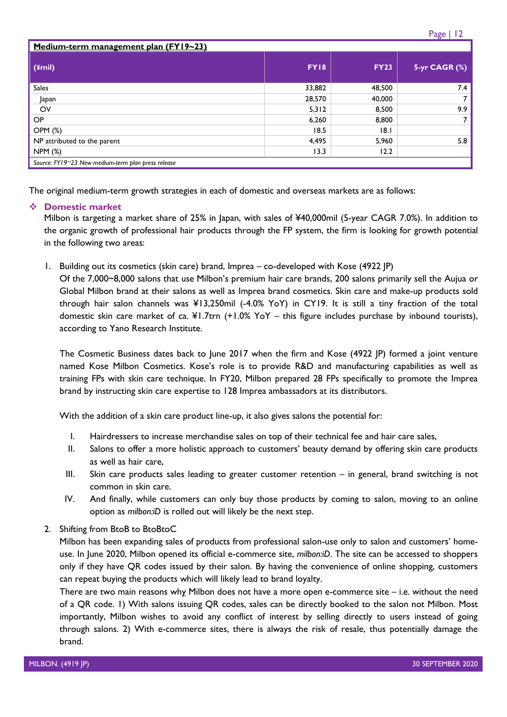| Medium-term management plan (FY19~23)              |             |             |               |  |  |  |  |  |
|----------------------------------------------------|-------------|-------------|---------------|--|--|--|--|--|
| (4mi)                                              | <b>FY18</b> | <b>FY23</b> | 5-yr CAGR (%) |  |  |  |  |  |
| <b>Sales</b>                                       | 33,882      | 48,500      | 7.4           |  |  |  |  |  |
| Japan                                              | 28,570      | 40,000      |               |  |  |  |  |  |
| OV                                                 | 5,312       | 8,500       | 9.9           |  |  |  |  |  |
| <b>OP</b>                                          | 6,260       | 8,800       |               |  |  |  |  |  |
| <b>OPM (%)</b>                                     | 18.5        | 8.1         |               |  |  |  |  |  |
| NP attributed to the parent                        | 4,495       | 5,960       | 5.8           |  |  |  |  |  |
| <b>NPM (%)</b>                                     | 13.3        | 12.2        |               |  |  |  |  |  |
| Source: FY19~23 New medium-term plan press release |             |             |               |  |  |  |  |  |

The original medium-term growth strategies in each of domestic and overseas markets are as follows:

#### ❖ **Domestic market**

Milbon is targeting a market share of 25% in Japan, with sales of ¥40,000mil (5-year CAGR 7.0%). In addition to the organic growth of professional hair products through the FP system, the firm is looking for growth potential in the following two areas:

1. Building out its cosmetics (skin care) brand, Imprea – co-developed with Kose (4922 JP)

Of the 7,000~8,000 salons that use Milbon's premium hair care brands, 200 salons primarily sell the Aujua or Global Milbon brand at their salons as well as Imprea brand cosmetics. Skin care and make-up products sold through hair salon channels was ¥13,250mil (-4.0% YoY) in CY19. It is still a tiny fraction of the total domestic skin care market of ca. ¥1.7trn (+1.0% YoY – this figure includes purchase by inbound tourists), according to Yano Research Institute.

The Cosmetic Business dates back to June 2017 when the firm and Kose (4922 JP) formed a joint venture named Kose Milbon Cosmetics. Kose's role is to provide R&D and manufacturing capabilities as well as training FPs with skin care technique. In FY20, Milbon prepared 28 FPs specifically to promote the Imprea brand by instructing skin care expertise to 128 Imprea ambassadors at its distributors.

With the addition of a skin care product line-up, it also gives salons the potential for:

- I. Hairdressers to increase merchandise sales on top of their technical fee and hair care sales,
- II. Salons to offer a more holistic approach to customers' beauty demand by offering skin care products as well as hair care,
- III. Skin care products sales leading to greater customer retention in general, brand switching is not common in skin care.
- IV. And finally, while customers can only buy those products by coming to salon, moving to an online option as *milbon:iD* is rolled out will likely be the next step.
- 2. Shifting from BtoB to BtoBtoC

Milbon has been expanding sales of products from professional salon-use only to salon and customers' homeuse. In June 2020, Milbon opened its official e-commerce site, *milbon:iD*. The site can be accessed to shoppers only if they have QR codes issued by their salon. By having the convenience of online shopping, customers can repeat buying the products which will likely lead to brand loyalty.

There are two main reasons why Milbon does not have a more open e-commerce site – i.e. without the need of a QR code. 1) With salons issuing QR codes, sales can be directly booked to the salon not Milbon. Most importantly, Milbon wishes to avoid any conflict of interest by selling directly to users instead of going through salons. 2) With e-commerce sites, there is always the risk of resale, thus potentially damage the brand.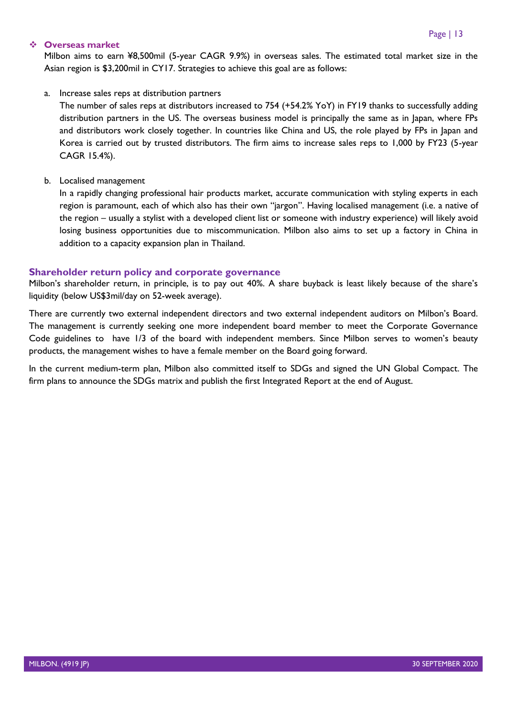#### ❖ **Overseas market**

Milbon aims to earn ¥8,500mil (5-year CAGR 9.9%) in overseas sales. The estimated total market size in the Asian region is \$3,200mil in CY17. Strategies to achieve this goal are as follows:

#### a. Increase sales reps at distribution partners

The number of sales reps at distributors increased to 754 (+54.2% YoY) in FY19 thanks to successfully adding distribution partners in the US. The overseas business model is principally the same as in Japan, where FPs and distributors work closely together. In countries like China and US, the role played by FPs in Japan and Korea is carried out by trusted distributors. The firm aims to increase sales reps to 1,000 by FY23 (5-year CAGR 15.4%).

#### b. Localised management

In a rapidly changing professional hair products market, accurate communication with styling experts in each region is paramount, each of which also has their own "jargon". Having localised management (i.e. a native of the region – usually a stylist with a developed client list or someone with industry experience) will likely avoid losing business opportunities due to miscommunication. Milbon also aims to set up a factory in China in addition to a capacity expansion plan in Thailand.

#### <span id="page-13-0"></span>**Shareholder return policy and corporate governance**

Milbon's shareholder return, in principle, is to pay out 40%. A share buyback is least likely because of the share's liquidity (below US\$3mil/day on 52-week average).

There are currently two external independent directors and two external independent auditors on Milbon's Board. The management is currently seeking one more independent board member to meet the Corporate Governance Code guidelines to have 1/3 of the board with independent members. Since Milbon serves to women's beauty products, the management wishes to have a female member on the Board going forward.

In the current medium-term plan, Milbon also committed itself to SDGs and signed the UN Global Compact. The firm plans to announce the SDGs matrix and publish the first Integrated Report at the end of August.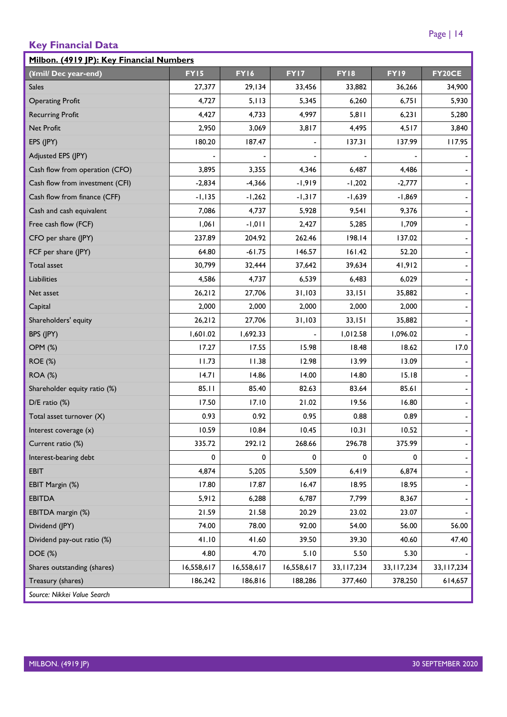## <span id="page-14-0"></span>**Key Financial Data**

| Milbon. (4919 JP): Key Financial Numbers |             |             |                              |              |              |                          |  |  |  |  |  |
|------------------------------------------|-------------|-------------|------------------------------|--------------|--------------|--------------------------|--|--|--|--|--|
| (¥mil/Dec year-end)                      | <b>FY15</b> | <b>FY16</b> | FY17                         | <b>FY18</b>  | FY19         | FY20CE                   |  |  |  |  |  |
| <b>Sales</b>                             | 27,377      | 29,134      | 33,456                       | 33,882       | 36,266       | 34,900                   |  |  |  |  |  |
| <b>Operating Profit</b>                  | 4,727       | 5,113       | 5,345                        | 6,260        | 6,751        | 5,930                    |  |  |  |  |  |
| <b>Recurring Profit</b>                  | 4,427       | 4,733       | 4,997                        | 5,811        | 6,231        | 5,280                    |  |  |  |  |  |
| Net Profit                               | 2,950       | 3,069       | 3,817                        | 4,495        | 4,517        | 3,840                    |  |  |  |  |  |
| EPS (JPY)                                | 180.20      | 187.47      | $\qquad \qquad \blacksquare$ | 137.31       | 137.99       | 117.95                   |  |  |  |  |  |
| Adjusted EPS (JPY)                       |             |             |                              |              |              |                          |  |  |  |  |  |
| Cash flow from operation (CFO)           | 3,895       | 3,355       | 4,346                        | 6,487        | 4,486        |                          |  |  |  |  |  |
| Cash flow from investment (CFI)          | $-2,834$    | $-4,366$    | $-1,919$                     | $-1,202$     | $-2,777$     |                          |  |  |  |  |  |
| Cash flow from finance (CFF)             | $-1,135$    | $-1,262$    | $-1,317$                     | $-1,639$     | $-1,869$     |                          |  |  |  |  |  |
| Cash and cash equivalent                 | 7,086       | 4,737       | 5,928                        | 9,541        | 9,376        |                          |  |  |  |  |  |
| Free cash flow (FCF)                     | 1,061       | $-1,011$    | 2,427                        | 5,285        | 1,709        | $\blacksquare$           |  |  |  |  |  |
| CFO per share (JPY)                      | 237.89      | 204.92      | 262.46                       | 198.14       | 137.02       |                          |  |  |  |  |  |
| FCF per share (JPY)                      | 64.80       | $-61.75$    | 146.57                       | 161.42       | 52.20        |                          |  |  |  |  |  |
| Total asset                              | 30,799      | 32,444      | 37,642                       | 39,634       | 41,912       | $\blacksquare$           |  |  |  |  |  |
| Liabilities                              | 4,586       | 4,737       | 6,539                        | 6,483        | 6,029        | -                        |  |  |  |  |  |
| Net asset                                | 26,212      | 27,706      | 31,103                       | 33,151       | 35,882       | $\blacksquare$           |  |  |  |  |  |
| Capital                                  | 2,000       | 2,000       | 2,000                        | 2,000        | 2,000        |                          |  |  |  |  |  |
| Shareholders' equity                     | 26,212      | 27,706      | 31,103                       | 33,151       | 35,882       |                          |  |  |  |  |  |
| BPS (JPY)                                | 1,601.02    | 1,692.33    |                              | 1,012.58     | 1,096.02     | $\overline{\phantom{a}}$ |  |  |  |  |  |
| <b>OPM (%)</b>                           | 17.27       | 17.55       | 15.98                        | 18.48        | 18.62        | 17.0                     |  |  |  |  |  |
| <b>ROE (%)</b>                           | 11.73       | 11.38       | 12.98                        | 13.99        | 13.09        |                          |  |  |  |  |  |
| <b>ROA (%)</b>                           | 4.7         | 14.86       | 14.00                        | 14.80        | 15.18        | $\blacksquare$           |  |  |  |  |  |
| Shareholder equity ratio (%)             | 85.11       | 85.40       | 82.63                        | 83.64        | 85.61        |                          |  |  |  |  |  |
| $D/E$ ratio $(\%)$                       | 17.50       | 17.10       | 21.02                        | 19.56        | 16.80        |                          |  |  |  |  |  |
| Total asset turnover (X)                 | 0.93        | 0.92        | 0.95                         | 0.88         | 0.89         | $\blacksquare$           |  |  |  |  |  |
| Interest coverage $(x)$                  | 10.59       | 10.84       | 10.45                        | 10.31        | 10.52        | $\blacksquare$           |  |  |  |  |  |
| Current ratio (%)                        | 335.72      | 292.12      | 268.66                       | 296.78       | 375.99       |                          |  |  |  |  |  |
| Interest-bearing debt                    | 0           | 0           | 0                            | 0            | 0            |                          |  |  |  |  |  |
| <b>EBIT</b>                              | 4,874       | 5,205       | 5,509                        | 6,419        | 6,874        |                          |  |  |  |  |  |
| EBIT Margin (%)                          | 17.80       | 17.87       | 16.47                        | 18.95        | 18.95        |                          |  |  |  |  |  |
| <b>EBITDA</b>                            | 5,912       | 6,288       | 6,787                        | 7,799        | 8,367        |                          |  |  |  |  |  |
| EBITDA margin (%)                        | 21.59       | 21.58       | 20.29                        | 23.02        | 23.07        |                          |  |  |  |  |  |
| Dividend (JPY)                           | 74.00       | 78.00       | 92.00                        | 54.00        | 56.00        | 56.00                    |  |  |  |  |  |
| Dividend pay-out ratio (%)               | 41.10       | 41.60       | 39.50                        | 39.30        | 40.60        | 47.40                    |  |  |  |  |  |
| DOE (%)                                  | 4.80        | 4.70        | 5.10                         | 5.50         | 5.30         |                          |  |  |  |  |  |
| Shares outstanding (shares)              | 16,558,617  | 16,558,617  | 16,558,617                   | 33, 117, 234 | 33, 117, 234 | 33, 117, 234             |  |  |  |  |  |
| Treasury (shares)                        | 186,242     | 186,816     | 188,286                      | 377,460      | 378,250      | 614,657                  |  |  |  |  |  |
| Source: Nikkei Value Search              |             |             |                              |              |              |                          |  |  |  |  |  |